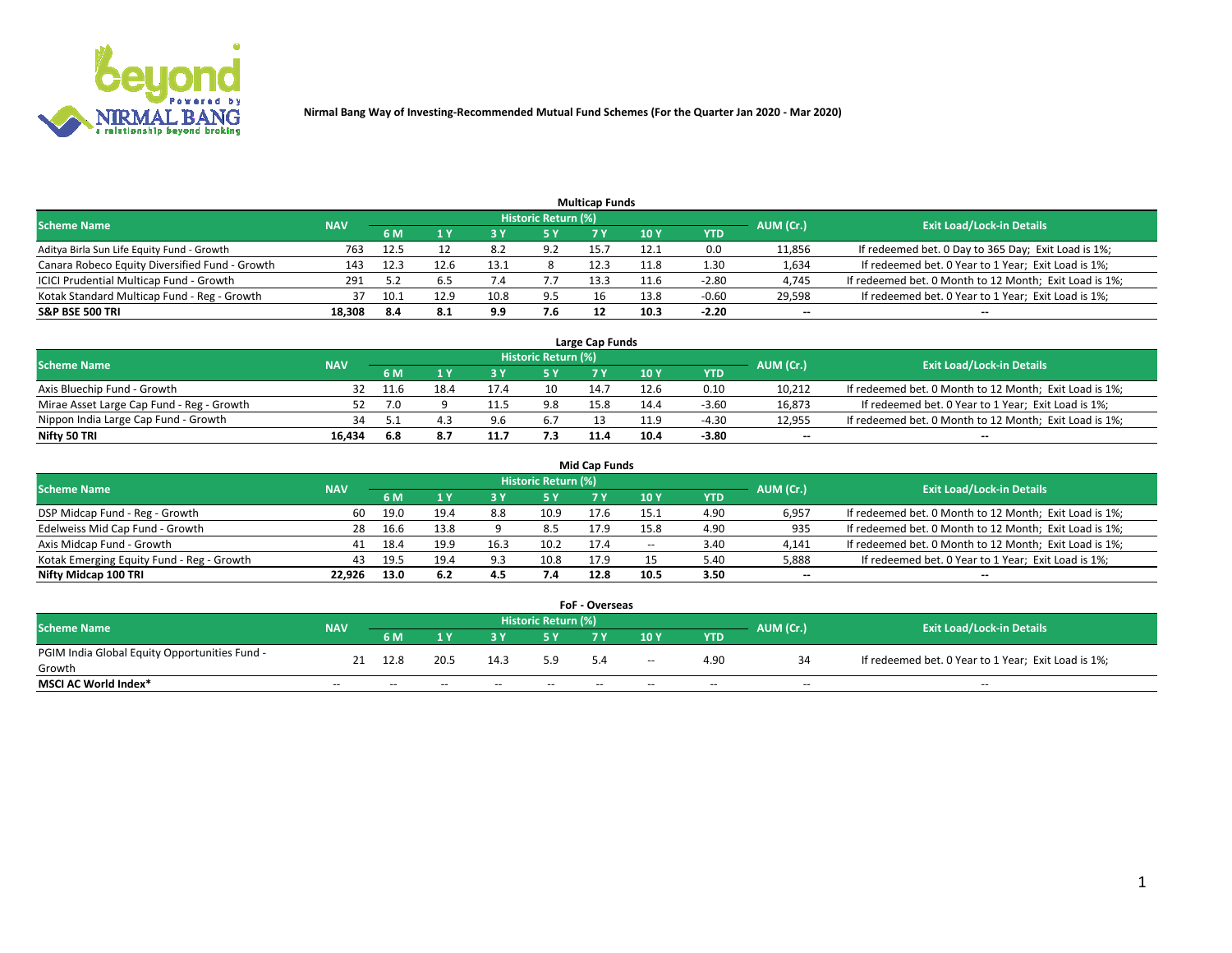

|                                                |            |      |      |      |                     | <b>Multicap Funds</b> |      |         |                          |                                                        |
|------------------------------------------------|------------|------|------|------|---------------------|-----------------------|------|---------|--------------------------|--------------------------------------------------------|
| Scheme Name                                    | <b>NAV</b> |      |      |      | Historic Return (%) |                       |      |         | AUM (Cr.)                | <b>Exit Load/Lock-in Details</b>                       |
|                                                |            | 6 M  |      |      | 5 Y                 |                       | 10 ۱ | YTD     |                          |                                                        |
| Aditya Birla Sun Life Equity Fund - Growth     | 763        | 12.5 |      | 8.2  | 9.2                 | 15.                   | 12.1 | 0.0     | 11,856                   | If redeemed bet. 0 Day to 365 Day; Exit Load is 1%;    |
| Canara Robeco Equity Diversified Fund - Growth | 143        | 12.3 | 12.6 | 13.1 |                     | 12.3                  | 11.8 | 1.30    | 1,634                    | If redeemed bet. 0 Year to 1 Year; Exit Load is 1%;    |
| ICICI Prudential Multicap Fund - Growth        | 291        |      |      |      |                     | 13.3                  | 11.6 | $-2.80$ | 4,745                    | If redeemed bet. 0 Month to 12 Month; Exit Load is 1%; |
| Kotak Standard Multicap Fund - Reg - Growth    | 37         | 10.1 | 12.9 |      | 9.5                 |                       | 13.8 | $-0.60$ | 29,598                   | If redeemed bet. 0 Year to 1 Year; Exit Load is 1%;    |
| <b>S&amp;P BSE 500 TRI</b>                     | 18.308     | -8.4 | 8.1  | 9.9  | 7.6                 |                       | 10.3 | $-2.20$ | $\overline{\phantom{a}}$ | $- -$                                                  |

| Large Cap Funds                           |            |      |      |     |                     |      |      |         |           |                                                        |  |  |  |  |
|-------------------------------------------|------------|------|------|-----|---------------------|------|------|---------|-----------|--------------------------------------------------------|--|--|--|--|
| Scheme Name                               | <b>NAV</b> |      |      |     | Historic Return (%) |      |      |         | AUM (Cr.) | <b>Exit Load/Lock-in Details</b>                       |  |  |  |  |
|                                           |            | 6 M  |      |     | 5 Y                 |      | 10Y  | YTD     |           |                                                        |  |  |  |  |
| Axis Bluechip Fund - Growth               |            | 11.6 | 18.4 |     | 10                  | 14.7 | 12.6 | 0.10    | 10,212    | If redeemed bet. 0 Month to 12 Month; Exit Load is 1%; |  |  |  |  |
| Mirae Asset Large Cap Fund - Reg - Growth |            | 7.0  |      |     | 9.8                 | 15.8 | 14.4 | $-3.60$ | 16,873    | If redeemed bet. 0 Year to 1 Year; Exit Load is 1%;    |  |  |  |  |
| Nippon India Large Cap Fund - Growth      |            |      |      | 9.6 | 6.7                 |      | 11.9 | $-4.30$ | 12,955    | If redeemed bet. 0 Month to 12 Month; Exit Load is 1%; |  |  |  |  |
| Nifty 50 TRI                              | 16.434     | 6.8  |      | 11. |                     | 11.4 | 10.4 | -3.80   | $\sim$    | $-$                                                    |  |  |  |  |

|                                           |            |      |      |      |                     | <b>Mid Cap Funds</b> |       |            |           |                                                        |
|-------------------------------------------|------------|------|------|------|---------------------|----------------------|-------|------------|-----------|--------------------------------------------------------|
| <b>Scheme Name</b>                        | <b>NAV</b> |      |      |      | Historic Return (%) |                      |       |            | AUM (Cr.) | <b>Exit Load/Lock-in Details</b>                       |
|                                           |            | 6 M  |      |      |                     |                      | 10Y   | <b>YTD</b> |           |                                                        |
| DSP Midcap Fund - Reg - Growth            | 60         | 19.0 | 19.4 | 8.8  | 10.9                | 17.6                 | 15.1  | 4.90       | 6,957     | If redeemed bet. 0 Month to 12 Month; Exit Load is 1%; |
| Edelweiss Mid Cap Fund - Growth           | 28         | 16.6 | 13.8 |      | 8.5                 | 17.9                 | 15.8  | 4.90       | 935       | If redeemed bet. 0 Month to 12 Month; Exit Load is 1%; |
| Axis Midcap Fund - Growth                 | 41         | 18.4 | 19.9 | 16.3 | 10.2                | 17.4                 | $- -$ | 3.40       | 4,141     | If redeemed bet. 0 Month to 12 Month; Exit Load is 1%; |
| Kotak Emerging Equity Fund - Reg - Growth | 43         | 19.5 | 19.4 | 9.3  | 10.8                | 17.9                 |       | 5.40       | 5,888     | If redeemed bet. 0 Year to 1 Year; Exit Load is 1%;    |
| Nifty Midcap 100 TRI                      | 22.926     | 13.0 | 6.2  | 4.5  | 7.4                 | 12.8                 | 10.5  | 3.50       | $\sim$    |                                                        |

| FoF - Overseas                                |            |       |       |       |                            |       |       |            |           |                                                     |  |  |  |  |
|-----------------------------------------------|------------|-------|-------|-------|----------------------------|-------|-------|------------|-----------|-----------------------------------------------------|--|--|--|--|
| <b>Scheme Name</b>                            | <b>NAV</b> |       |       |       | <b>Historic Return (%)</b> |       |       |            | AUM (Cr.) | <b>Exit Load/Lock-in Details</b>                    |  |  |  |  |
|                                               |            | 6 M   |       |       |                            |       | 10Y   | <b>YTD</b> |           |                                                     |  |  |  |  |
| PGIM India Global Equity Opportunities Fund - |            | 12.8  | 20.5  | 14.3  | 5.9                        | 5.4   | $- -$ | 4.90       |           | If redeemed bet. 0 Year to 1 Year; Exit Load is 1%; |  |  |  |  |
| Growth                                        |            |       |       |       |                            |       |       |            |           |                                                     |  |  |  |  |
| <b>MSCI AC World Index*</b>                   | $- -$      | $- -$ | $- -$ | $- -$ | $- -$                      | $- -$ | $- -$ | --         | $- -$     | $- -$                                               |  |  |  |  |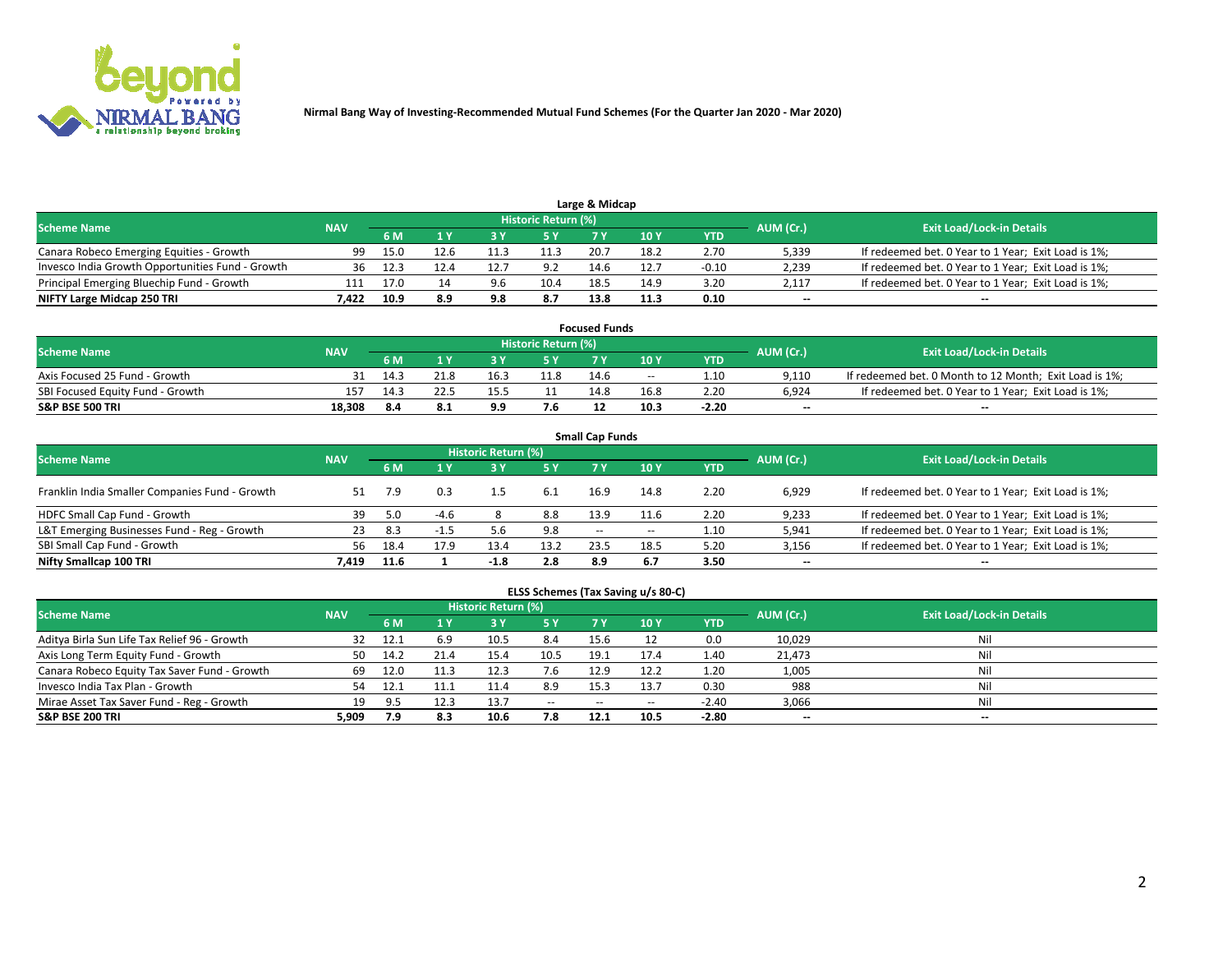

|                                                  |            |      |     |     |                     | Large & Midcap |      |         |           |                                                     |
|--------------------------------------------------|------------|------|-----|-----|---------------------|----------------|------|---------|-----------|-----------------------------------------------------|
| <b>Scheme Name</b>                               | <b>NAV</b> |      |     |     | Historic Return (%) |                |      |         | AUM (Cr.) | <b>Exit Load/Lock-in Details</b>                    |
|                                                  |            | 6 M  |     |     | 5 Y                 |                | 10Y  | YTD     |           |                                                     |
| Canara Robeco Emerging Equities - Growth         | 99         | 15.0 |     |     | 11.3                | 20.7           | 18.2 | 2.70    | 5,339     | If redeemed bet. 0 Year to 1 Year; Exit Load is 1%; |
| Invesco India Growth Opportunities Fund - Growth |            |      |     |     | 9.2                 | 14.6           | 12.7 | $-0.10$ | 2,239     | If redeemed bet. 0 Year to 1 Year; Exit Load is 1%; |
| Principal Emerging Bluechip Fund - Growth        | 111        | 17.0 |     | 9.6 | 10.4                | 18.5           | 14.9 | 3.20    | 2,117     | If redeemed bet. 0 Year to 1 Year; Exit Load is 1%; |
| NIFTY Large Midcap 250 TRI                       | 1.422      |      | 8.9 | 9.8 | 8.7                 | 13.8           | 11.3 | 0.10    | $\sim$    | $-$                                                 |

| <b>Focused Funds</b>             |            |     |      |      |                     |      |       |         |           |                                                        |  |  |  |
|----------------------------------|------------|-----|------|------|---------------------|------|-------|---------|-----------|--------------------------------------------------------|--|--|--|
| <b>Scheme Name</b>               | <b>NAV</b> |     |      |      | Historic Return (%) |      |       |         |           | <b>Exit Load/Lock-in Details</b>                       |  |  |  |
|                                  |            | 6 M |      |      |                     |      | 10 Y  | YTD     | AUM (Cr.) |                                                        |  |  |  |
| Axis Focused 25 Fund - Growth    |            |     |      | 16.3 | 11.8                | 14.6 | $- -$ | 1.10    | 9.110     | If redeemed bet. 0 Month to 12 Month; Exit Load is 1%; |  |  |  |
| SBI Focused Equity Fund - Growth | 157        |     |      | 15.5 |                     | 14.8 | 16.8  | 2.20    | 6.924     | If redeemed bet. 0 Year to 1 Year; Exit Load is 1%;    |  |  |  |
| <b>S&amp;P BSE 500 TRI</b>       | 18.308     | 8.4 | -8.1 | 9.9  | 7.6                 |      | 10.3  | $-2.20$ | $\sim$    | $- -$                                                  |  |  |  |

|                                                |            |           |        |                            |      | <b>Small Cap Funds</b> |       |            |           |                                                     |
|------------------------------------------------|------------|-----------|--------|----------------------------|------|------------------------|-------|------------|-----------|-----------------------------------------------------|
| <b>Scheme Name</b>                             | <b>NAV</b> |           |        | <b>Historic Return (%)</b> |      |                        |       |            | AUM (Cr.) | <b>Exit Load/Lock-in Details</b>                    |
|                                                |            | <b>6M</b> |        |                            | 5 Y  | 7 Y                    | 10Y   | <b>YTD</b> |           |                                                     |
| Franklin India Smaller Companies Fund - Growth | 51         | 7.9       |        | 1.5                        | 6.1  | 16.9                   | 14.8  | 2.20       | 6.929     | If redeemed bet. 0 Year to 1 Year; Exit Load is 1%; |
| HDFC Small Cap Fund - Growth                   | 39         | 5.0       | $-4.6$ |                            | 8.8  | 13.9                   | 11.6  | 2.20       | 9,233     | If redeemed bet. 0 Year to 1 Year; Exit Load is 1%; |
| L&T Emerging Businesses Fund - Reg - Growth    | 23         | 8.3       | $-1.5$ |                            | 9.8  | $- -$                  | $- -$ | 1.10       | 5,941     | If redeemed bet. 0 Year to 1 Year; Exit Load is 1%; |
| SBI Small Cap Fund - Growth                    | 56         | 18.4      | 17.9   | 13.4                       | 13.2 | 23.5                   | 18.5  | 5.20       | 3,156     | If redeemed bet. 0 Year to 1 Year; Exit Load is 1%; |
| Nifty Smallcap 100 TRI                         | 7.419      | 11.6      |        | $-1.8$                     | 2.8  | 8.9                    | 6.7   | 3.50       | $\sim$    | $- -$                                               |

## **ELSS Schemes (Tax Saving u/s 80-C)**

| <b>Scheme Name</b>                           | <b>NAV</b> |      |           | <b>Historic Return (%)</b> |           |                          |        |         | AUM (Cr.) | <b>Exit Load/Lock-in Details</b> |
|----------------------------------------------|------------|------|-----------|----------------------------|-----------|--------------------------|--------|---------|-----------|----------------------------------|
|                                              |            | 6 M  | <b>AV</b> | <b>3 Y</b>                 | <b>5Y</b> | 7 Y                      | $-10V$ | YTD     |           |                                  |
| Aditya Birla Sun Life Tax Relief 96 - Growth | 32         | 12.1 | 6.9       | 10.5                       | 8.4       | 15.6                     |        | 0.0     | 10,029    | Nil                              |
| Axis Long Term Equity Fund - Growth          | 50         | 14.2 | 21.4      | 15.4                       | 10.5      | 19.1                     | 17.4   | 1.40    | 21,473    | Nil                              |
| Canara Robeco Equity Tax Saver Fund - Growth | 69         | 12.0 |           |                            | 7.6       | 12.9                     | 12.2   | 1.20    | 1,005     | Nil                              |
| Invesco India Tax Plan - Growth              | 54         | 12.1 | 11.1      | 11.4                       | 8.9       | 15.3                     | 13.7   | 0.30    | 988       | Nil                              |
| Mirae Asset Tax Saver Fund - Reg - Growth    | 19         | 9 F  | 12.3      | 13.7                       | $\sim$    | $\overline{\phantom{a}}$ | --     | $-2.40$ | 3,066     | Nil                              |
| S&P BSE 200 TRI                              | 5,909      | 7.9  | 8.3       | 10.6                       | 7.8       | 12.1                     | 10.5   | $-2.80$ | $\sim$    | $- -$                            |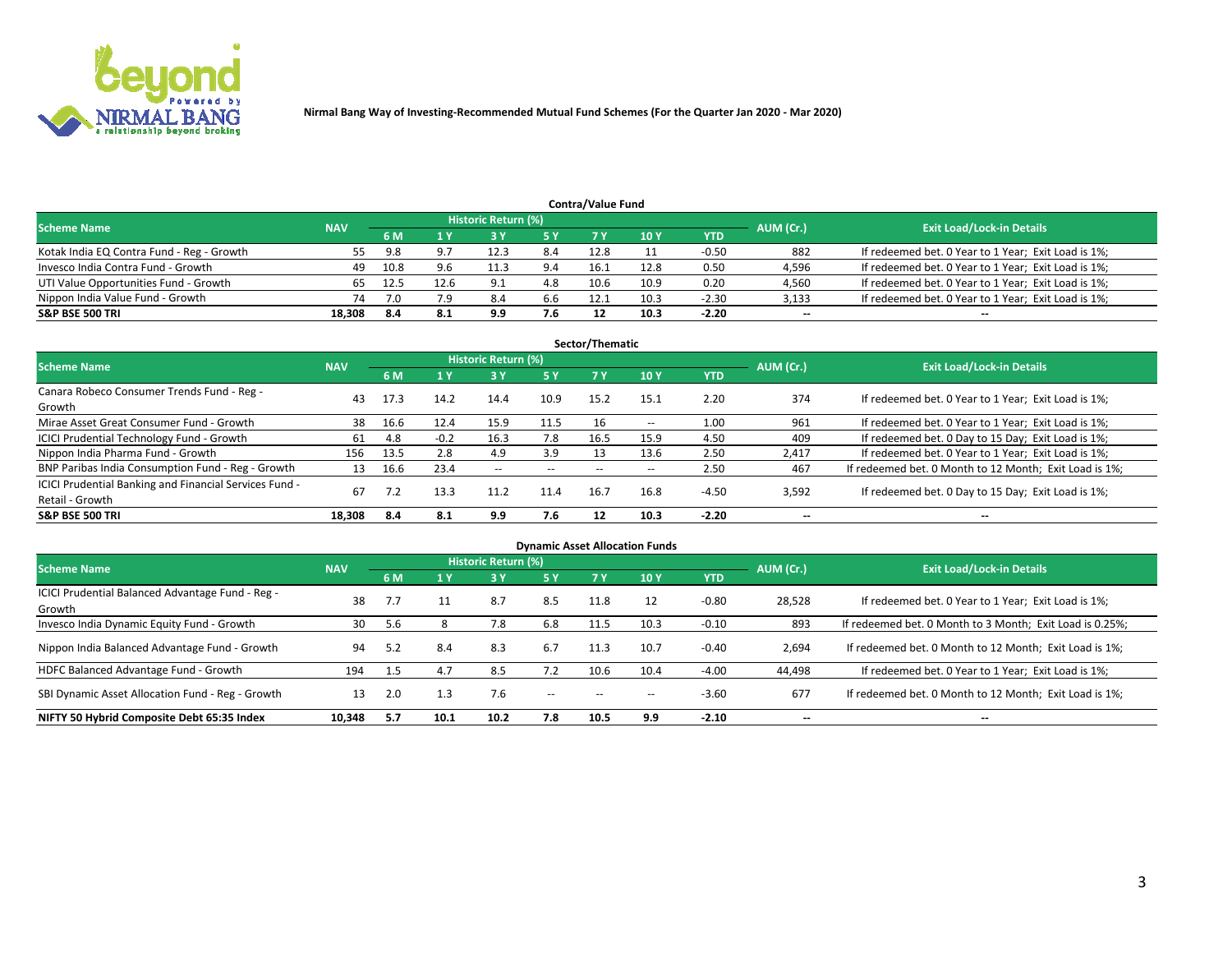

|                                                                                                                 |        |      |      |      |     | <b>Contra/Value Fund</b> |      |            |        |                                                     |  |  |  |  |
|-----------------------------------------------------------------------------------------------------------------|--------|------|------|------|-----|--------------------------|------|------------|--------|-----------------------------------------------------|--|--|--|--|
| <b>Historic Return (%)</b><br><b>Exit Load/Lock-in Details</b><br>AUM (Cr.)<br><b>Scheme Name</b><br><b>NAV</b> |        |      |      |      |     |                          |      |            |        |                                                     |  |  |  |  |
|                                                                                                                 |        | 6 M  |      |      | 5 Y | 7 V                      | 10Y  | <b>YTD</b> |        |                                                     |  |  |  |  |
| Kotak India EQ Contra Fund - Reg - Growth                                                                       | לל     | 9.8  |      | 12.3 | 8.4 | 12.8                     |      | $-0.50$    | 882    | If redeemed bet. 0 Year to 1 Year; Exit Load is 1%; |  |  |  |  |
| Invesco India Contra Fund - Growth                                                                              | 49     | 10.8 | 9.6  |      | 9.4 | 16.1                     | 12.8 | 0.50       | 4,596  | If redeemed bet. 0 Year to 1 Year; Exit Load is 1%; |  |  |  |  |
| UTI Value Opportunities Fund - Growth                                                                           |        | 12.5 | 12.6 | 9.1  | 4.8 | 10.6                     | 10.9 | 0.20       | 4,560  | If redeemed bet. 0 Year to 1 Year; Exit Load is 1%; |  |  |  |  |
| Nippon India Value Fund - Growth                                                                                | 74     |      | 7.9  | 8.4  | 6.6 | 12.1                     | 10.3 | $-2.30$    | 3,133  | If redeemed bet. 0 Year to 1 Year; Exit Load is 1%; |  |  |  |  |
| <b>S&amp;P BSE 500 TRI</b>                                                                                      | 18.308 | -8.4 | 8.1  | 9.9  | 7.6 |                          | 10.3 | $-2.20$    | $\sim$ | $- -$                                               |  |  |  |  |

|                                                                           |            |      |        |                     |      | Sector/Thematic |                          |            |           |                                                        |
|---------------------------------------------------------------------------|------------|------|--------|---------------------|------|-----------------|--------------------------|------------|-----------|--------------------------------------------------------|
| <b>Scheme Name</b>                                                        | <b>NAV</b> |      |        | Historic Return (%) |      |                 |                          |            | AUM (Cr.) | <b>Exit Load/Lock-in Details</b>                       |
|                                                                           |            | 6 M  | 1 Y    | 73 Y                | 15 Y | 7 Y             | 10Y                      | <b>YTD</b> |           |                                                        |
| Canara Robeco Consumer Trends Fund - Reg -<br>Growth                      | 43         | 17.3 | 14.2   | 14.4                | 10.9 | 15.2            | 15.1                     | 2.20       | 374       | If redeemed bet. 0 Year to 1 Year; Exit Load is 1%;    |
| Mirae Asset Great Consumer Fund - Growth                                  | 38         | 16.6 | 12.4   | 15.9                | 11.5 |                 | $\overline{\phantom{a}}$ | 1.00       | 961       | If redeemed bet. 0 Year to 1 Year; Exit Load is 1%;    |
| <b>ICICI Prudential Technology Fund - Growth</b>                          | 61         | 4.8  | $-0.2$ | 16.3                | 7.8  | 16.5            | 15.9                     | 4.50       | 409       | If redeemed bet. 0 Day to 15 Day; Exit Load is 1%;     |
| Nippon India Pharma Fund - Growth                                         | 156        | 13.5 | 2.8    | 4.9                 | 3.9  | 13              | 13.6                     | 2.50       | 2,417     | If redeemed bet. 0 Year to 1 Year; Exit Load is 1%;    |
| BNP Paribas India Consumption Fund - Reg - Growth                         | 13         | 16.6 | 23.4   | $- -$               | --   |                 | --                       | 2.50       | 467       | If redeemed bet. 0 Month to 12 Month; Exit Load is 1%; |
| ICICI Prudential Banking and Financial Services Fund -<br>Retail - Growth | 67         |      | 13.3   | 11.2                | 11.4 | 16.7            | 16.8                     | $-4.50$    | 3,592     | If redeemed bet. 0 Day to 15 Day; Exit Load is 1%;     |
| <b>S&amp;P BSE 500 TRI</b>                                                | 18.308     | 8.4  | 8.1    | 9.9                 | 7.6  |                 | 10.3                     | $-2.20$    | --        | $- -$                                                  |

| <b>Dynamic Asset Allocation Funds</b>                      |            |     |      |                     |        |           |      |            |                          |                                                          |  |  |  |
|------------------------------------------------------------|------------|-----|------|---------------------|--------|-----------|------|------------|--------------------------|----------------------------------------------------------|--|--|--|
| <b>Scheme Name</b>                                         | <b>NAV</b> |     |      | Historic Return (%) |        |           |      |            | AUM (Cr.)                | <b>Exit Load/Lock-in Details</b>                         |  |  |  |
|                                                            |            | 6 M |      | 73 Y                | 5 Y    | <b>7Y</b> | 10Y  | <b>YTD</b> |                          |                                                          |  |  |  |
| ICICI Prudential Balanced Advantage Fund - Reg -<br>Growth | 38         | 7.7 |      | 8.7                 | 8.5    | 11.8      |      | $-0.80$    | 28,528                   | If redeemed bet. 0 Year to 1 Year; Exit Load is 1%;      |  |  |  |
| Invesco India Dynamic Equity Fund - Growth                 | 30         | 5.6 |      | 7.8                 | 6.8    | 11.5      | 10.3 | $-0.10$    | 893                      | If redeemed bet. 0 Month to 3 Month; Exit Load is 0.25%; |  |  |  |
| Nippon India Balanced Advantage Fund - Growth              | 94         | 5.2 | 8.4  | 8.3                 | 6.7    | 11.3      | 10.7 | $-0.40$    | 2,694                    | If redeemed bet. 0 Month to 12 Month; Exit Load is 1%;   |  |  |  |
| HDFC Balanced Advantage Fund - Growth                      | 194        | 1.5 | 4.7  | 8.5                 | 7.2    | 10.6      | 10.4 | $-4.00$    | 44,498                   | If redeemed bet. 0 Year to 1 Year; Exit Load is 1%;      |  |  |  |
| SBI Dynamic Asset Allocation Fund - Reg - Growth           | 13         | 2.0 | 1.3  | 7.6                 | $\sim$ | --        | --   | $-3.60$    | 677                      | If redeemed bet. 0 Month to 12 Month; Exit Load is 1%;   |  |  |  |
| NIFTY 50 Hybrid Composite Debt 65:35 Index                 | 10,348     | 5.7 | 10.1 | 10.2                | 7.8    | 10.5      | 9.9  | $-2.10$    | $\overline{\phantom{a}}$ | $- -$                                                    |  |  |  |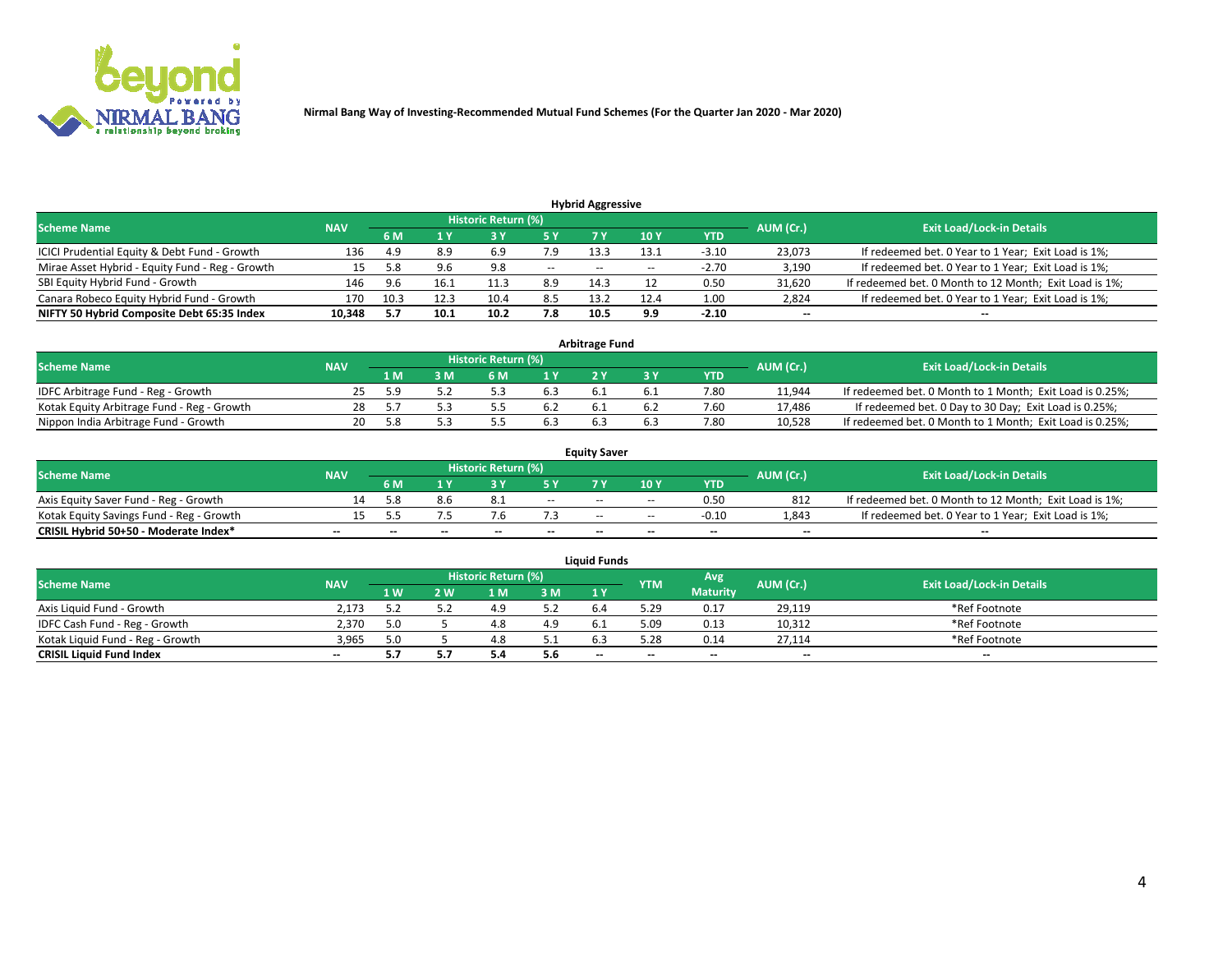

|                                                 |            |      |      |                            |        | <b>Hybrid Aggressive</b> |       |         |                          |                                                        |
|-------------------------------------------------|------------|------|------|----------------------------|--------|--------------------------|-------|---------|--------------------------|--------------------------------------------------------|
| <b>Scheme Name</b>                              | <b>NAV</b> |      |      | <b>Historic Return (%)</b> |        |                          |       |         | AUM (Cr.)                | <b>Exit Load/Lock-in Details</b>                       |
|                                                 |            | 6 M  |      |                            |        |                          | 10Y   | YTD     |                          |                                                        |
| ICICI Prudential Equity & Debt Fund - Growth    | 136        | 4.9  | 8.9  | 6.9                        | 7.9    | 13.3                     | 13.1  | $-3.10$ | 23,073                   | If redeemed bet. 0 Year to 1 Year; Exit Load is 1%;    |
| Mirae Asset Hybrid - Equity Fund - Reg - Growth | 15         | 5.8  | 9.6  | 9.8                        | $\sim$ | $\overline{\phantom{a}}$ | $- -$ | $-2.70$ | 3,190                    | If redeemed bet. 0 Year to 1 Year; Exit Load is 1%;    |
| SBI Equity Hybrid Fund - Growth                 | 146        | 9.6  | 16.1 |                            | 8.9    | 14.3                     |       | 0.50    | 31,620                   | If redeemed bet. 0 Month to 12 Month; Exit Load is 1%; |
| Canara Robeco Equity Hybrid Fund - Growth       | 170        | 10.3 | 12.3 | 10.4                       | 8.5    | 13.2                     | 12.4  | 1.00    | 2,824                    | If redeemed bet. 0 Year to 1 Year; Exit Load is 1%;    |
| NIFTY 50 Hybrid Composite Debt 65:35 Index      | 10,348     |      | 10.1 | 10.2                       | 7.8    | 10.5                     | 9.9   | $-2.10$ | $\overline{\phantom{a}}$ | $- -$                                                  |

|                                            |            |           |                                  |     | <b>Arbitrage Fund</b> |     |            |        |                                                          |
|--------------------------------------------|------------|-----------|----------------------------------|-----|-----------------------|-----|------------|--------|----------------------------------------------------------|
| <b>Scheme Name</b>                         | <b>NAV</b> | AUM (Cr.) | <b>Exit Load/Lock-in Details</b> |     |                       |     |            |        |                                                          |
|                                            |            | 1 M.      | } M                              | 1 V |                       |     | <b>YTD</b> |        |                                                          |
| IDFC Arbitrage Fund - Reg - Growth         |            |           |                                  |     |                       |     | 7.80       | 11,944 | If redeemed bet. 0 Month to 1 Month; Exit Load is 0.25%; |
| Kotak Equity Arbitrage Fund - Reg - Growth | 28         |           |                                  | 6.2 |                       | b.4 | 7.60       | 17.486 | If redeemed bet. 0 Day to 30 Day; Exit Load is 0.25%;    |
| Nippon India Arbitrage Fund - Growth       | 20         |           |                                  |     |                       |     | 7.80       | 10.528 | If redeemed bet. 0 Month to 1 Month; Exit Load is 0.25%; |

|                                          |            |           |                                  |                          |                          | <b>Equity Saver</b> |               |            |                          |                                                        |
|------------------------------------------|------------|-----------|----------------------------------|--------------------------|--------------------------|---------------------|---------------|------------|--------------------------|--------------------------------------------------------|
| Scheme Name                              | <b>NAV</b> | AUM (Cr.) | <b>Exit Load/Lock-in Details</b> |                          |                          |                     |               |            |                          |                                                        |
|                                          |            | 6 M       |                                  |                          | 5 Y                      |                     | $\sqrt{10}$ Y | <b>YTD</b> |                          |                                                        |
| Axis Equity Saver Fund - Reg - Growth    |            | i.8       | 8.b                              |                          | $\sim$                   | $-$                 | $- -$         | 0.50       | 812                      | If redeemed bet. 0 Month to 12 Month; Exit Load is 1%; |
| Kotak Equity Savings Fund - Reg - Growth |            |           | .                                |                          |                          | $- -$               | $- -$         | $-0.10$    | 1,843                    | If redeemed bet. 0 Year to 1 Year; Exit Load is 1%;    |
| CRISIL Hybrid 50+50 - Moderate Index*    |            | $-$       | $-$                              | $\overline{\phantom{a}}$ | $\overline{\phantom{a}}$ | $\sim$              | --            | $- -$      | $\overline{\phantom{a}}$ | $- -$                                                  |

| <b>Liquid Funds</b>              |            |      |     |                            |      |                          |            |                 |           |                                  |  |  |  |  |
|----------------------------------|------------|------|-----|----------------------------|------|--------------------------|------------|-----------------|-----------|----------------------------------|--|--|--|--|
| Scheme Name                      | <b>NAV</b> |      |     | <b>Historic Return (%)</b> |      |                          | <b>YTM</b> | Avg             | AUM (Cr.) | <b>Exit Load/Lock-in Details</b> |  |  |  |  |
|                                  |            | 1 W. | ว พ | 1 M                        | 3 M  | 1 Y                      |            | <b>Maturity</b> |           |                                  |  |  |  |  |
| Axis Liquid Fund - Growth        | 2.173      |      |     | 4.9                        | 5.2  |                          | 5.29       | 0.17            | 29,119    | *Ref Footnote                    |  |  |  |  |
| IDFC Cash Fund - Reg - Growth    | 2.370      | 5.0  |     |                            | 4.9  |                          | 5.09       | 0.13            | 10,312    | *Ref Footnote                    |  |  |  |  |
| Kotak Liquid Fund - Reg - Growth | 3,965      | 5.0  |     |                            | ۰۰ ت |                          | 5.28       | 0.14            | 27,114    | *Ref Footnote                    |  |  |  |  |
| <b>CRISIL Liquid Fund Index</b>  | $- -$      |      |     | ∍.                         | 5.6  | $\overline{\phantom{a}}$ | $- -$      | $- -$           | $\sim$    | $\sim$                           |  |  |  |  |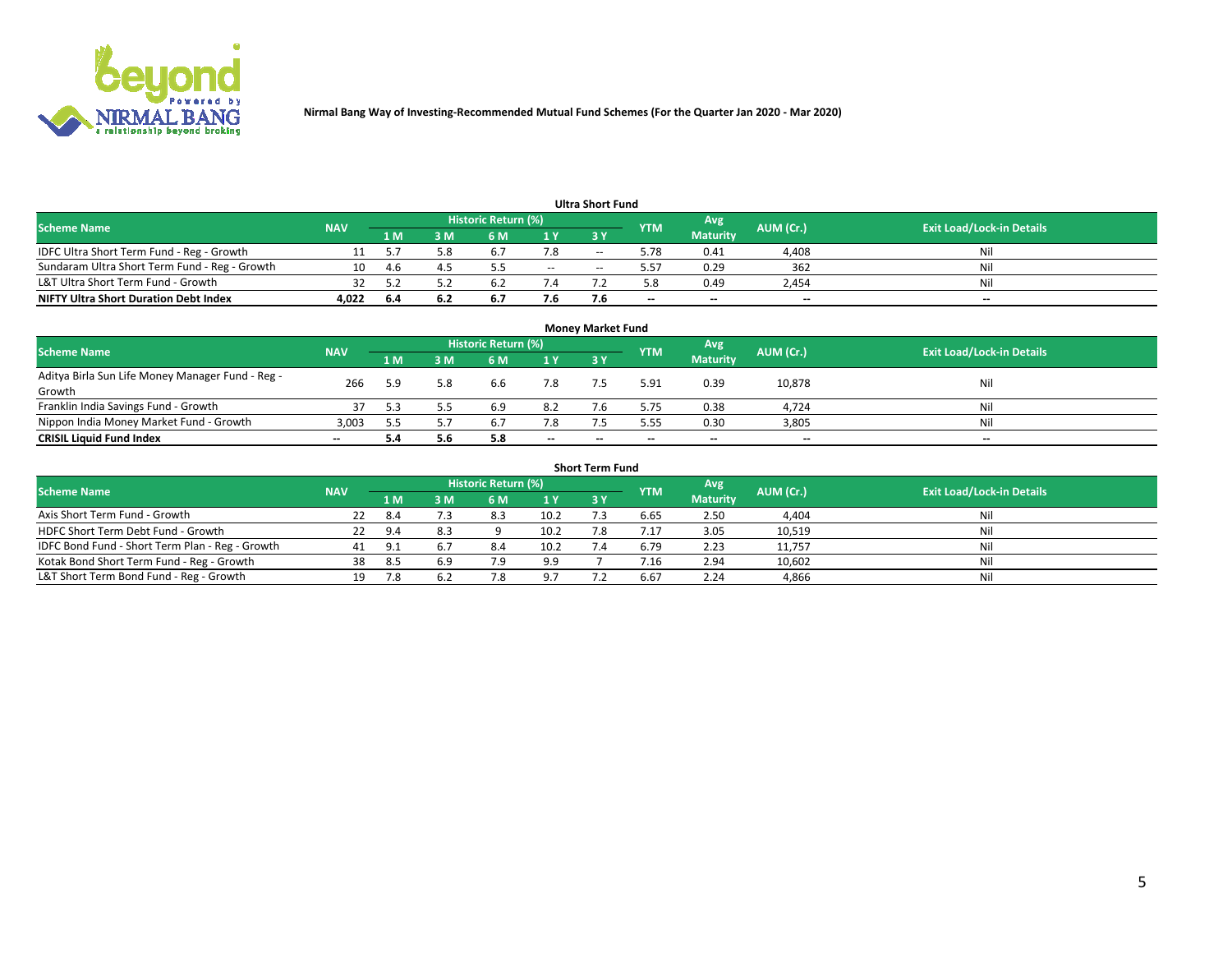

|                                               |            |      |      |                     |       | <b>Ultra Short Fund</b> |            |                 |           |                                  |
|-----------------------------------------------|------------|------|------|---------------------|-------|-------------------------|------------|-----------------|-----------|----------------------------------|
| <b>Scheme Name</b>                            | <b>NAV</b> |      |      | Historic Return (%) |       |                         | <b>YTM</b> | Avg             | AUM (Cr.) | <b>Exit Load/Lock-in Details</b> |
|                                               |            | 1 M  | 3 M  | 6 M                 | 1 Y   | 3 Y                     |            | <b>Maturity</b> |           |                                  |
| IDFC Ultra Short Term Fund - Reg - Growth     |            |      | 5.8  | $b_{\cdot}$         | 7.8   | $- -$                   | 5.78       | 0.41            | 4,408     | Nil                              |
| Sundaram Ultra Short Term Fund - Reg - Growth | 10         | -4.6 |      |                     | $- -$ | --                      | 5.57       | 0.29            | 362       | Nil                              |
| L&T Ultra Short Term Fund - Growth            |            |      |      |                     |       |                         | 5.8        | 0.49            | 2,454     | Nil                              |
| <b>NIFTY Ultra Short Duration Debt Index</b>  | 4,022      | -6.4 | -6.2 | <b>D.</b>           | 7.6   |                         | $\sim$     | $\sim$          | $\sim$    | $- -$                            |

| <b>Money Market Fund</b>                         |            |     |     |                     |        |    |            |                 |           |                                  |  |  |  |  |
|--------------------------------------------------|------------|-----|-----|---------------------|--------|----|------------|-----------------|-----------|----------------------------------|--|--|--|--|
| <b>Scheme Name</b>                               | <b>NAV</b> |     |     | Historic Return (%) |        |    | <b>YTM</b> | 'Avg            | AUM (Cr.) | <b>Exit Load/Lock-in Details</b> |  |  |  |  |
|                                                  |            | 1 M | 3 M | 6 M                 | 1 Y    | 3Y |            | <b>Maturity</b> |           |                                  |  |  |  |  |
| Aditya Birla Sun Life Money Manager Fund - Reg - | 266        | 5.9 | 5.8 | 6.6                 | 7.8    |    | 5.91       | 0.39            | 10,878    | Nil                              |  |  |  |  |
| Growth<br>Franklin India Savings Fund - Growth   |            |     |     | 6.9                 | 8.2    |    | 5.75       | 0.38            | 4,724     | Nil                              |  |  |  |  |
| Nippon India Money Market Fund - Growth          | 3,003      |     |     | 6.7                 | 7.8    |    | 5.55       | 0.30            | 3,805     | Nil                              |  |  |  |  |
| <b>CRISIL Liquid Fund Index</b>                  | $- -$      |     | 5.6 | 5.8                 | $\sim$ | -- | --         | $\sim$          | $\sim$    | $\sim$                           |  |  |  |  |

| <b>Short Term Fund</b>                          |            |      |     |                            |      |           |            |                 |           |                                  |  |  |  |  |
|-------------------------------------------------|------------|------|-----|----------------------------|------|-----------|------------|-----------------|-----------|----------------------------------|--|--|--|--|
| <b>Scheme Name</b>                              | <b>NAV</b> |      |     | <b>Historic Return (%)</b> |      |           | <b>YTM</b> | Avg             | AUM (Cr.) | <b>Exit Load/Lock-in Details</b> |  |  |  |  |
|                                                 |            | 1 M  | 3 M | 6 M                        | 1Y   | <b>3Y</b> |            | <b>Maturity</b> |           |                                  |  |  |  |  |
| Axis Short Term Fund - Growth                   |            | -8.4 |     | 8.3                        | 10.2 |           | 6.65       | 2.50            | 4,404     | Nil                              |  |  |  |  |
| HDFC Short Term Debt Fund - Growth              | 22         | 9.4  | 8.3 |                            | 10.2 |           | 7.17       | 3.05            | 10,519    | Nil                              |  |  |  |  |
| IDFC Bond Fund - Short Term Plan - Reg - Growth | 41         | ۰ p  |     | 8.4                        | 10.2 |           | 6.79       | 2.23            | 11,757    | Nil                              |  |  |  |  |
| Kotak Bond Short Term Fund - Reg - Growth       | 38         | -8.5 | 6.9 | ہ 7                        | 9.9  |           | / .16      | 2.94            | 10,602    | Nil                              |  |  |  |  |
| L&T Short Term Bond Fund - Reg - Growth         |            |      |     |                            | 9.7  |           | 6.67       | 2.24            | 4,866     | Nil                              |  |  |  |  |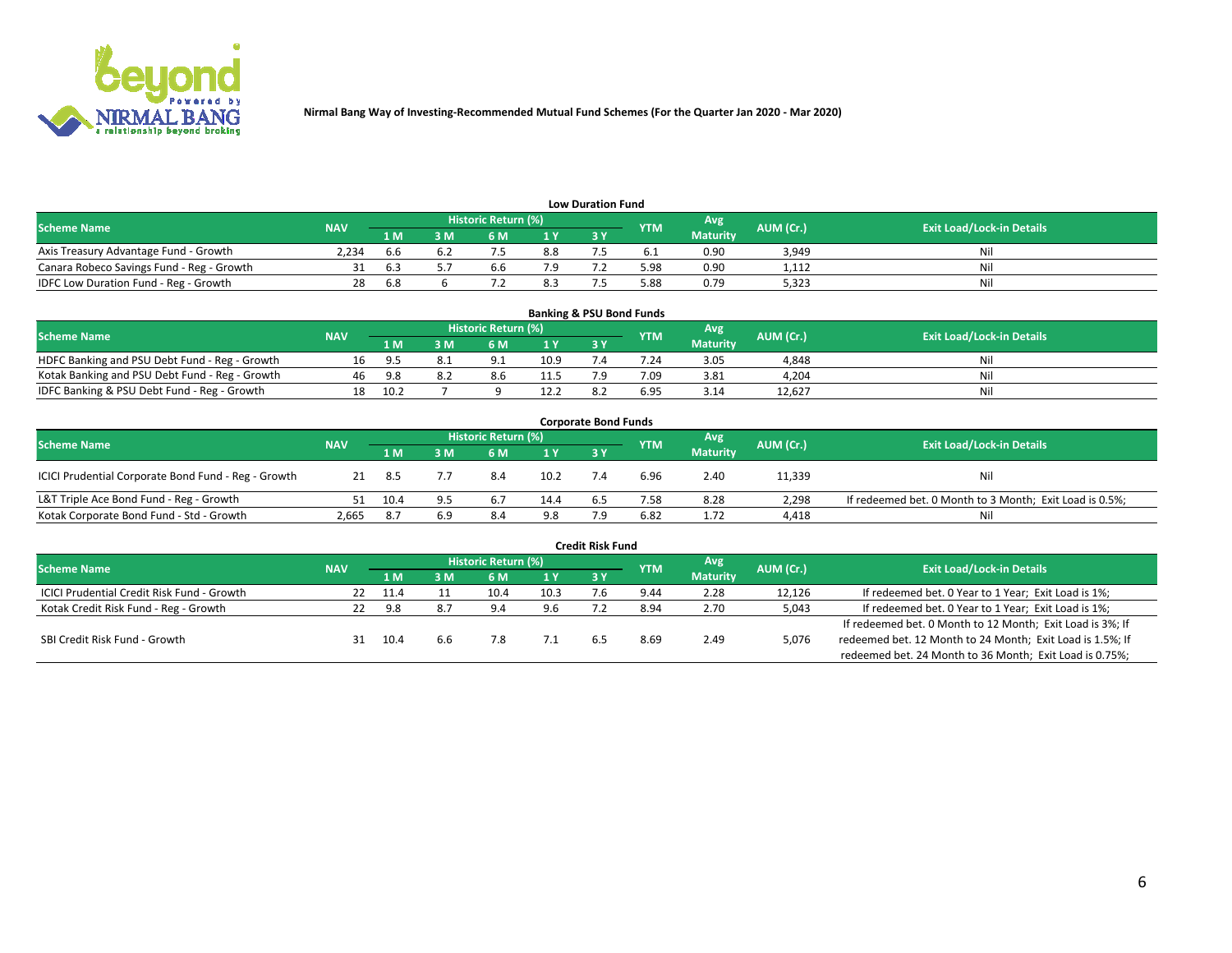

| <b>Low Duration Fund</b>                  |            |            |     |                            |     |  |            |                 |           |                                  |  |  |  |  |
|-------------------------------------------|------------|------------|-----|----------------------------|-----|--|------------|-----------------|-----------|----------------------------------|--|--|--|--|
| <b>Scheme Name</b>                        | <b>NAV</b> |            |     | <b>Historic Return (%)</b> |     |  | <b>YTM</b> | Avg             | AUM (Cr.) | <b>Exit Load/Lock-in Details</b> |  |  |  |  |
|                                           |            | 1 M        | ያ M | 5 M                        | 1 V |  |            | <b>Maturity</b> |           |                                  |  |  |  |  |
| Axis Treasury Advantage Fund - Growth     | 2.234      | b.b        |     |                            | 8.8 |  |            | 0.90            | 3,949     | Nil                              |  |  |  |  |
| Canara Robeco Savings Fund - Reg - Growth |            | <b>b.3</b> |     | b.b                        |     |  | 5.98       | 0.90            | 1,112     | Nil                              |  |  |  |  |
| IDFC Low Duration Fund - Reg - Growth     |            | 6.8        |     |                            | 8.3 |  | 5.88       | 0.79            | 5,323     | Nil                              |  |  |  |  |

| <b>Banking &amp; PSU Bond Funds</b>            |            |      |    |                            |      |                |            |                 |           |                                  |  |  |  |
|------------------------------------------------|------------|------|----|----------------------------|------|----------------|------------|-----------------|-----------|----------------------------------|--|--|--|
| <b>Scheme Name</b>                             | <b>NAV</b> |      |    | <b>Historic Return (%)</b> |      |                | <b>YTM</b> | Avg             | AUM (Cr.) | <b>Exit Load/Lock-in Details</b> |  |  |  |
|                                                |            | 1 M  | sм | 6 M                        | 71 Y | <b>3Y</b>      |            | <b>Maturity</b> |           |                                  |  |  |  |
| HDFC Banking and PSU Debt Fund - Reg - Growth  | 16         | -9.5 |    | $\Omega$ 1                 | 10.9 |                | 7.24       | 3.05            | 4,848     | Ni                               |  |  |  |
| Kotak Banking and PSU Debt Fund - Reg - Growth | 46         | 9.8  |    | 8.6                        | 11.5 |                | 7.09       | 3.81            | 4,204     | Ni                               |  |  |  |
| IDFC Banking & PSU Debt Fund - Reg - Growth    | 18         | 10.2 |    |                            | 12.2 | $\mathbf{R}$ . | 6.95       | 3.14            | 12.627    | Ni                               |  |  |  |

| <b>Corporate Bond Funds</b>                         |            |      |     |                            |      |            |            |                 |           |                                                         |  |  |  |
|-----------------------------------------------------|------------|------|-----|----------------------------|------|------------|------------|-----------------|-----------|---------------------------------------------------------|--|--|--|
| <b>Scheme Name</b>                                  | <b>NAV</b> |      |     | <b>Historic Return (%)</b> |      |            | <b>YTM</b> | Avg             | AUM (Cr.) | <b>Exit Load/Lock-in Details</b>                        |  |  |  |
|                                                     |            | 1 M  | 3 M | 6 M                        | 1 Y  | <b>3 Y</b> |            | <b>Maturity</b> |           |                                                         |  |  |  |
| ICICI Prudential Corporate Bond Fund - Reg - Growth |            | -8.5 |     | 8.4                        | 10.2 |            | 6.96       | 2.40            | 11,339    | Nil                                                     |  |  |  |
| L&T Triple Ace Bond Fund - Reg - Growth             |            | 10.4 |     | 6.7                        | 14.4 | ხ.5        | 7.58       | 8.28            | 2,298     | If redeemed bet. 0 Month to 3 Month; Exit Load is 0.5%; |  |  |  |
| Kotak Corporate Bond Fund - Std - Growth            | 2,665      | -8.7 | 6.9 | 8.4                        | 9.8  |            | 6.82       | 1.72            | 4,418     | Nil                                                     |  |  |  |

| <b>Credit Risk Fund</b>                    |            |        |     |                            |      |    |            |                 |           |                                                           |  |  |  |
|--------------------------------------------|------------|--------|-----|----------------------------|------|----|------------|-----------------|-----------|-----------------------------------------------------------|--|--|--|
| <b>Scheme Name</b>                         | <b>NAV</b> |        |     | <b>Historic Return (%)</b> |      |    | <b>YTM</b> | Avg             | AUM (Cr.) | <b>Exit Load/Lock-in Details</b>                          |  |  |  |
|                                            |            | 1 M    | ያ M | 6 M                        | 1 Y  | 3Y |            | <b>Maturity</b> |           |                                                           |  |  |  |
| ICICI Prudential Credit Risk Fund - Growth | 22         | - 11.4 |     | 10.4                       | 10.3 |    | 9.44       | 2.28            | 12,126    | If redeemed bet. 0 Year to 1 Year; Exit Load is 1%;       |  |  |  |
| Kotak Credit Risk Fund - Reg - Growth      | 22         | 9.8    | 8.7 | 9.                         | 9.6  |    | 8.94       | 2.70            | 5,043     | If redeemed bet. 0 Year to 1 Year; Exit Load is 1%;       |  |  |  |
|                                            |            |        |     |                            |      |    |            |                 |           | If redeemed bet. 0 Month to 12 Month; Exit Load is 3%; If |  |  |  |
| SBI Credit Risk Fund - Growth              |            | 10.4   | 6.6 |                            |      |    | 8.69       | 2.49            | 5,076     | redeemed bet. 12 Month to 24 Month; Exit Load is 1.5%; If |  |  |  |
|                                            |            |        |     |                            |      |    |            |                 |           | redeemed bet. 24 Month to 36 Month; Exit Load is 0.75%;   |  |  |  |